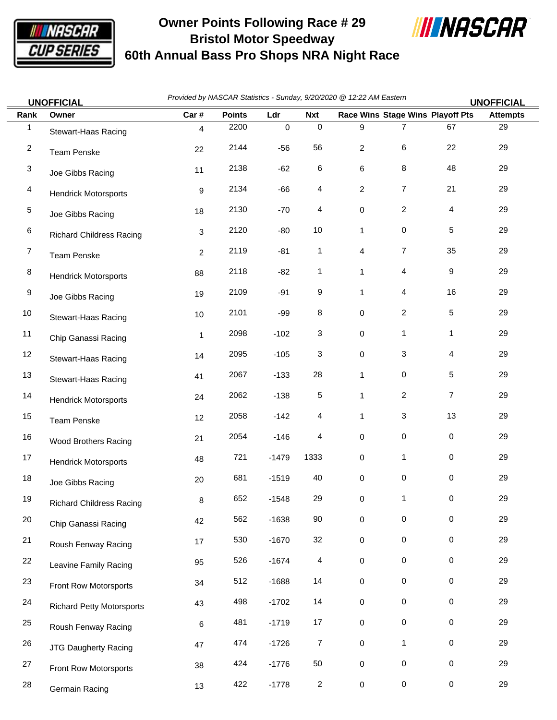

## **Owner Points Following Race # 29 Bristol Motor Speedway 60th Annual Bass Pro Shops NRA Night Race**



| <b>UNOFFICIAL</b> |                                  | Provided by NASCAR Statistics - Sunday, 9/20/2020 @ 12:22 AM Eastern |               |           |                         |                         |                                  | <b>UNOFFICIAL</b> |                 |  |
|-------------------|----------------------------------|----------------------------------------------------------------------|---------------|-----------|-------------------------|-------------------------|----------------------------------|-------------------|-----------------|--|
| Rank              | Owner                            | Car#                                                                 | <b>Points</b> | Ldr       | <b>Nxt</b>              |                         | Race Wins Stage Wins Playoff Pts |                   | <b>Attempts</b> |  |
| 1                 | Stewart-Haas Racing              | 4                                                                    | 2200          | $\pmb{0}$ | $\mathbf 0$             | 9                       | $\overline{7}$                   | 67                | 29              |  |
| $\overline{c}$    | Team Penske                      | 22                                                                   | 2144          | $-56$     | 56                      | $\overline{\mathbf{c}}$ | 6                                | 22                | 29              |  |
| $\mathbf{3}$      | Joe Gibbs Racing                 | 11                                                                   | 2138          | $-62$     | 6                       | 6                       | 8                                | 48                | 29              |  |
| $\overline{4}$    | <b>Hendrick Motorsports</b>      | 9                                                                    | 2134          | $-66$     | 4                       | 2                       | 7                                | 21                | 29              |  |
| $\,$ 5 $\,$       | Joe Gibbs Racing                 | 18                                                                   | 2130          | $-70$     | $\overline{4}$          | 0                       | $\mathbf{2}$                     | 4                 | 29              |  |
| 6                 | <b>Richard Childress Racing</b>  | 3                                                                    | 2120          | $-80$     | $10$                    | $\mathbf{1}$            | 0                                | 5                 | 29              |  |
| 7                 | Team Penske                      | 2                                                                    | 2119          | $-81$     | $\mathbf{1}$            | 4                       | $\overline{7}$                   | 35                | 29              |  |
| 8                 | <b>Hendrick Motorsports</b>      | 88                                                                   | 2118          | $-82$     | $\mathbf{1}$            | 1                       | 4                                | 9                 | 29              |  |
| 9                 | Joe Gibbs Racing                 | 19                                                                   | 2109          | $-91$     | 9                       | 1                       | 4                                | 16                | 29              |  |
| 10                | Stewart-Haas Racing              | 10                                                                   | 2101          | $-99$     | 8                       | 0                       | $\overline{c}$                   | 5                 | 29              |  |
| 11                | Chip Ganassi Racing              | $\mathbf{1}$                                                         | 2098          | $-102$    | $\mathbf{3}$            | 0                       | 1                                | 1                 | 29              |  |
| 12                | Stewart-Haas Racing              | 14                                                                   | 2095          | $-105$    | 3                       | 0                       | 3                                | 4                 | 29              |  |
| 13                | Stewart-Haas Racing              | 41                                                                   | 2067          | $-133$    | 28                      | 1                       | 0                                | 5                 | 29              |  |
| 14                | <b>Hendrick Motorsports</b>      | 24                                                                   | 2062          | $-138$    | 5                       | $\mathbf{1}$            | $\overline{c}$                   | 7                 | 29              |  |
| 15                | Team Penske                      | 12                                                                   | 2058          | $-142$    | $\overline{4}$          | $\mathbf{1}$            | 3                                | 13                | 29              |  |
| 16                | Wood Brothers Racing             | 21                                                                   | 2054          | $-146$    | $\overline{\mathbf{r}}$ | 0                       | 0                                | 0                 | 29              |  |
| 17                | <b>Hendrick Motorsports</b>      | 48                                                                   | 721           | $-1479$   | 1333                    | 0                       | 1                                | 0                 | 29              |  |
| 18                | Joe Gibbs Racing                 | 20                                                                   | 681           | $-1519$   | 40                      | 0                       | 0                                | 0                 | 29              |  |
| 19                | <b>Richard Childress Racing</b>  | 8                                                                    | 652           | $-1548$   | 29                      | 0                       |                                  | 0                 | 29              |  |
| 20                | Chip Ganassi Racing              | 42                                                                   | 562           | $-1638$   | 90                      | 0                       | 0                                | 0                 | 29              |  |
| 21                | Roush Fenway Racing              | 17                                                                   | 530           | $-1670$   | 32                      | 0                       | 0                                | 0                 | 29              |  |
| 22                | Leavine Family Racing            | 95                                                                   | 526           | $-1674$   | $\overline{\mathbf{r}}$ | 0                       | 0                                | 0                 | 29              |  |
| 23                | Front Row Motorsports            | 34                                                                   | 512           | $-1688$   | 14                      | 0                       | 0                                | 0                 | 29              |  |
| 24                | <b>Richard Petty Motorsports</b> | 43                                                                   | 498           | $-1702$   | 14                      | 0                       | 0                                | 0                 | 29              |  |
| 25                | Roush Fenway Racing              | 6                                                                    | 481           | $-1719$   | 17                      | 0                       | 0                                | 0                 | 29              |  |
| 26                | <b>JTG Daugherty Racing</b>      | 47                                                                   | 474           | $-1726$   | $\overline{7}$          | 0                       | 1                                | 0                 | 29              |  |
| 27                | Front Row Motorsports            | 38                                                                   | 424           | $-1776$   | 50                      | 0                       | $\pmb{0}$                        | 0                 | 29              |  |

28 Germain Racing 13 422 -1778 2 0 0 0 29